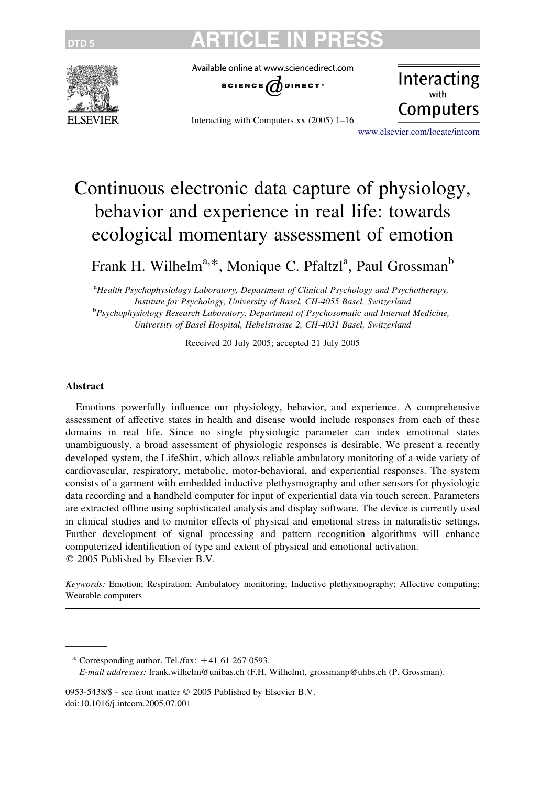

Available online at www.sciencedirect.com



Interacting with Computers xx (2005) 1–16

Interacting Computers

[www.elsevier.com/locate/intcom](http://www.elsevier.com/locate/intcom)

# Continuous electronic data capture of physiology, behavior and experience in real life: towards ecological momentary assessment of emotion

Frank H. Wilhelm<sup>a,\*</sup>, Monique C. Pfaltzl<sup>a</sup>, Paul Grossman<sup>b</sup>

<sup>a</sup>Health Psychophysiology Laboratory, Department of Clinical Psychology and Psychotherapy, Institute for Psychology, University of Basel, CH-4055 Basel, Switzerland **b**Psychophysiology Research Laboratory, Department of Psychosomatic and Internal Medicine, University of Basel Hospital, Hebelstrasse 2, CH-4031 Basel, Switzerland

Received 20 July 2005; accepted 21 July 2005

#### Abstract

Emotions powerfully influence our physiology, behavior, and experience. A comprehensive assessment of affective states in health and disease would include responses from each of these domains in real life. Since no single physiologic parameter can index emotional states unambiguously, a broad assessment of physiologic responses is desirable. We present a recently developed system, the LifeShirt, which allows reliable ambulatory monitoring of a wide variety of cardiovascular, respiratory, metabolic, motor-behavioral, and experiential responses. The system consists of a garment with embedded inductive plethysmography and other sensors for physiologic data recording and a handheld computer for input of experiential data via touch screen. Parameters are extracted offline using sophisticated analysis and display software. The device is currently used in clinical studies and to monitor effects of physical and emotional stress in naturalistic settings. Further development of signal processing and pattern recognition algorithms will enhance computerized identification of type and extent of physical and emotional activation.  $©$  2005 Published by Elsevier B.V.

Keywords: Emotion; Respiration; Ambulatory monitoring; Inductive plethysmography; Affective computing; Wearable computers

0953-5438/\$ - see front matter © 2005 Published by Elsevier B.V. doi:10.1016/j.intcom.2005.07.001

<sup>\*</sup> Corresponding author. Tel./fax:  $+41$  61 267 0593. E-mail addresses: frank.wilhelm@unibas.ch (F.H. Wilhelm), grossmanp@uhbs.ch (P. Grossman).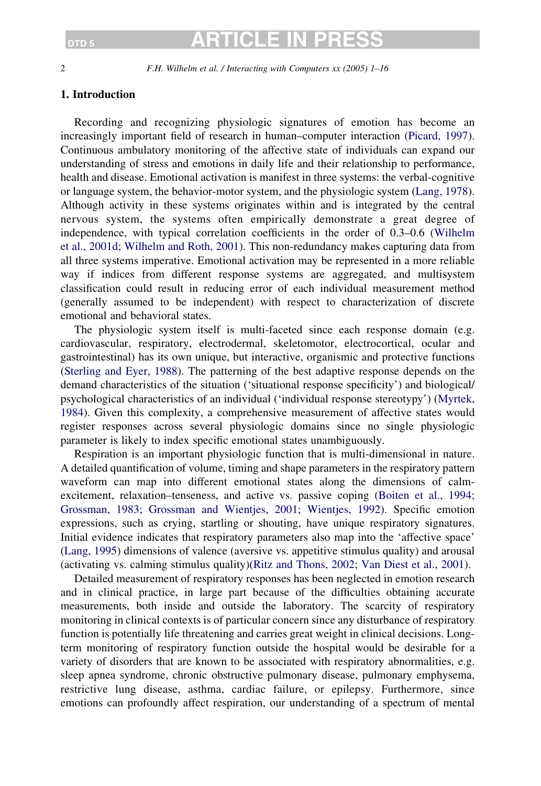### DTD 5 **ARTICLE IN**

2 F.H. Wilhelm et al. / Interacting with Computers xx (2005) 1–16

### 1. Introduction

Recording and recognizing physiologic signatures of emotion has become an increasingly important field of research in human–computer interaction [\(Picard, 1997](#page-14-0)). Continuous ambulatory monitoring of the affective state of individuals can expand our understanding of stress and emotions in daily life and their relationship to performance, health and disease. Emotional activation is manifest in three systems: the verbal-cognitive or language system, the behavior-motor system, and the physiologic system ([Lang, 1978](#page-13-0)). Although activity in these systems originates within and is integrated by the central nervous system, the systems often empirically demonstrate a great degree of independence, with typical correlation coefficients in the order of 0.3–0.6 ([Wilhelm](#page-15-0) [et al., 2001d; Wilhelm and Roth, 2001\)](#page-15-0). This non-redundancy makes capturing data from all three systems imperative. Emotional activation may be represented in a more reliable way if indices from different response systems are aggregated, and multisystem classification could result in reducing error of each individual measurement method (generally assumed to be independent) with respect to characterization of discrete emotional and behavioral states.

The physiologic system itself is multi-faceted since each response domain (e.g. cardiovascular, respiratory, electrodermal, skeletomotor, electrocortical, ocular and gastrointestinal) has its own unique, but interactive, organismic and protective functions ([Sterling and Eyer, 1988\)](#page-14-0). The patterning of the best adaptive response depends on the demand characteristics of the situation ('situational response specificity') and biological/ psychological characteristics of an individual ('individual response stereotypy') [\(Myrtek,](#page-14-0) [1984](#page-14-0)). Given this complexity, a comprehensive measurement of affective states would register responses across several physiologic domains since no single physiologic parameter is likely to index specific emotional states unambiguously.

Respiration is an important physiologic function that is multi-dimensional in nature. A detailed quantification of volume, timing and shape parameters in the respiratory pattern waveform can map into different emotional states along the dimensions of calmexcitement, relaxation–tenseness, and active vs. passive coping ([Boiten et al., 1994;](#page-12-0) [Grossman, 1983; Grossman and Wientjes, 2001; Wientjes, 1992](#page-12-0)). Specific emotion expressions, such as crying, startling or shouting, have unique respiratory signatures. Initial evidence indicates that respiratory parameters also map into the 'affective space' ([Lang, 1995](#page-13-0)) dimensions of valence (aversive vs. appetitive stimulus quality) and arousal (activating vs. calming stimulus quality)[\(Ritz and Thons, 2002; Van Diest et al., 2001\)](#page-14-0).

Detailed measurement of respiratory responses has been neglected in emotion research and in clinical practice, in large part because of the difficulties obtaining accurate measurements, both inside and outside the laboratory. The scarcity of respiratory monitoring in clinical contexts is of particular concern since any disturbance of respiratory function is potentially life threatening and carries great weight in clinical decisions. Longterm monitoring of respiratory function outside the hospital would be desirable for a variety of disorders that are known to be associated with respiratory abnormalities, e.g. sleep apnea syndrome, chronic obstructive pulmonary disease, pulmonary emphysema, restrictive lung disease, asthma, cardiac failure, or epilepsy. Furthermore, since emotions can profoundly affect respiration, our understanding of a spectrum of mental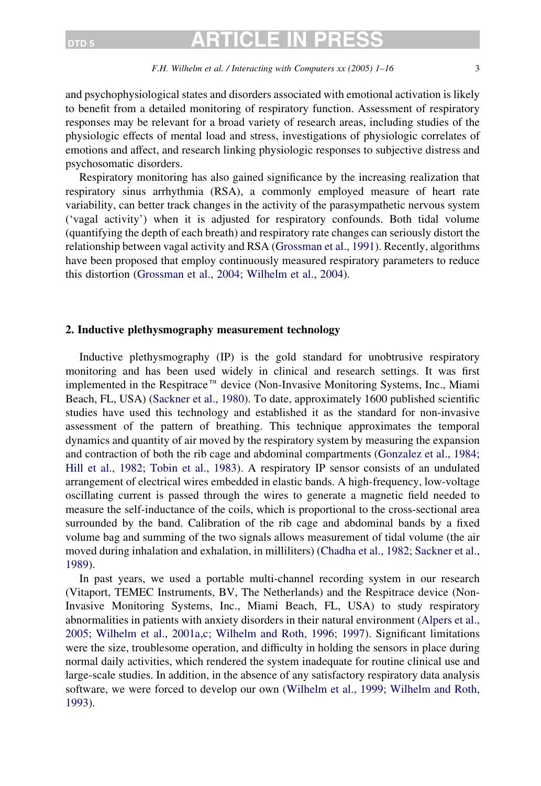### DTD 5 **ARTICLE IN**

#### F.H. Wilhelm et al. / Interacting with Computers xx (2005) 1–16 3

and psychophysiological states and disorders associated with emotional activation is likely to benefit from a detailed monitoring of respiratory function. Assessment of respiratory responses may be relevant for a broad variety of research areas, including studies of the physiologic effects of mental load and stress, investigations of physiologic correlates of emotions and affect, and research linking physiologic responses to subjective distress and psychosomatic disorders.

Respiratory monitoring has also gained significance by the increasing realization that respiratory sinus arrhythmia (RSA), a commonly employed measure of heart rate variability, can better track changes in the activity of the parasympathetic nervous system ('vagal activity') when it is adjusted for respiratory confounds. Both tidal volume (quantifying the depth of each breath) and respiratory rate changes can seriously distort the relationship between vagal activity and RSA ([Grossman et al., 1991\)](#page-13-0). Recently, algorithms have been proposed that employ continuously measured respiratory parameters to reduce this distortion ([Grossman et al., 2004; Wilhelm et al., 2004](#page-13-0)).

### 2. Inductive plethysmography measurement technology

Inductive plethysmography (IP) is the gold standard for unobtrusive respiratory monitoring and has been used widely in clinical and research settings. It was first implemented in the Respitrace<sup> $\pi$ M</sup> device (Non-Invasive Monitoring Systems, Inc., Miami Beach, FL, USA) [\(Sackner et al., 1980](#page-14-0)). To date, approximately 1600 published scientific studies have used this technology and established it as the standard for non-invasive assessment of the pattern of breathing. This technique approximates the temporal dynamics and quantity of air moved by the respiratory system by measuring the expansion and contraction of both the rib cage and abdominal compartments [\(Gonzalez et al., 1984;](#page-13-0) [Hill et al., 1982; Tobin et al., 1983](#page-13-0)). A respiratory IP sensor consists of an undulated arrangement of electrical wires embedded in elastic bands. A high-frequency, low-voltage oscillating current is passed through the wires to generate a magnetic field needed to measure the self-inductance of the coils, which is proportional to the cross-sectional area surrounded by the band. Calibration of the rib cage and abdominal bands by a fixed volume bag and summing of the two signals allows measurement of tidal volume (the air moved during inhalation and exhalation, in milliliters) ([Chadha et al., 1982; Sackner et al.,](#page-12-0) [1989\)](#page-12-0).

In past years, we used a portable multi-channel recording system in our research (Vitaport, TEMEC Instruments, BV, The Netherlands) and the Respitrace device (Non-Invasive Monitoring Systems, Inc., Miami Beach, FL, USA) to study respiratory abnormalities in patients with anxiety disorders in their natural environment ([Alpers et al.,](#page-12-0) [2005; Wilhelm et al., 2001a,c; Wilhelm and Roth, 1996; 1997\)](#page-12-0). Significant limitations were the size, troublesome operation, and difficulty in holding the sensors in place during normal daily activities, which rendered the system inadequate for routine clinical use and large-scale studies. In addition, in the absence of any satisfactory respiratory data analysis software, we were forced to develop our own [\(Wilhelm et al., 1999; Wilhelm and Roth,](#page-15-0) [1993\)](#page-15-0).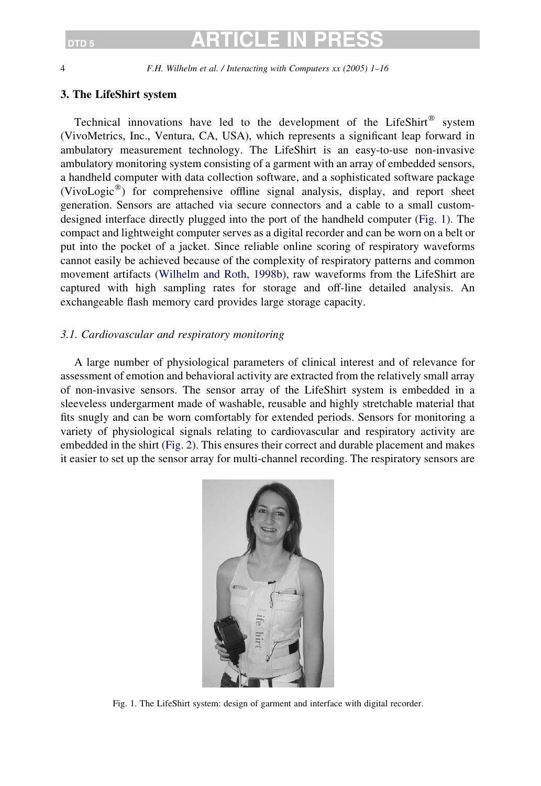4 F.H. Wilhelm et al. / Interacting with Computers xx (2005) 1–16

### 3. The LifeShirt system

Technical innovations have led to the development of the LifeShirt<sup>®</sup> system (VivoMetrics, Inc., Ventura, CA, USA), which represents a significant leap forward in ambulatory measurement technology. The LifeShirt is an easy-to-use non-invasive ambulatory monitoring system consisting of a garment with an array of embedded sensors, a handheld computer with data collection software, and a sophisticated software package (VivoLogic<sup>®</sup>) for comprehensive offline signal analysis, display, and report sheet generation. Sensors are attached via secure connectors and a cable to a small customdesigned interface directly plugged into the port of the handheld computer (Fig. 1). The compact and lightweight computer serves as a digital recorder and can be worn on a belt or put into the pocket of a jacket. Since reliable online scoring of respiratory waveforms cannot easily be achieved because of the complexity of respiratory patterns and common movement artifacts [\(Wilhelm and Roth, 1998b](#page-15-0)), raw waveforms from the LifeShirt are captured with high sampling rates for storage and off-line detailed analysis. An exchangeable flash memory card provides large storage capacity.

### 3.1. Cardiovascular and respiratory monitoring

A large number of physiological parameters of clinical interest and of relevance for assessment of emotion and behavioral activity are extracted from the relatively small array of non-invasive sensors. The sensor array of the LifeShirt system is embedded in a sleeveless undergarment made of washable, reusable and highly stretchable material that fits snugly and can be worn comfortably for extended periods. Sensors for monitoring a variety of physiological signals relating to cardiovascular and respiratory activity are embedded in the shirt [\(Fig. 2](#page-4-0)). This ensures their correct and durable placement and makes it easier to set up the sensor array for multi-channel recording. The respiratory sensors are



Fig. 1. The LifeShirt system: design of garment and interface with digital recorder.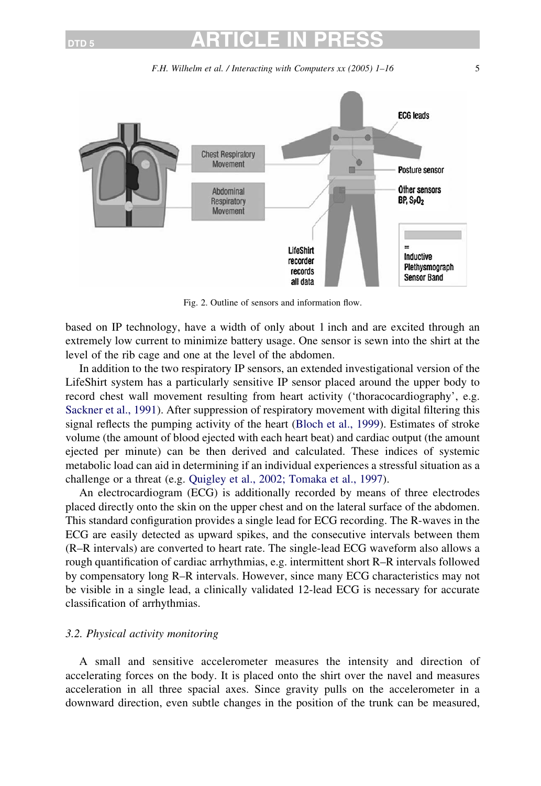F.H. Wilhelm et al. / Interacting with Computers xx (2005) 1–16 5

<span id="page-4-0"></span>

Fig. 2. Outline of sensors and information flow.

based on IP technology, have a width of only about 1 inch and are excited through an extremely low current to minimize battery usage. One sensor is sewn into the shirt at the level of the rib cage and one at the level of the abdomen.

In addition to the two respiratory IP sensors, an extended investigational version of the LifeShirt system has a particularly sensitive IP sensor placed around the upper body to record chest wall movement resulting from heart activity ('thoracocardiography', e.g. [Sackner et al., 1991\)](#page-14-0). After suppression of respiratory movement with digital filtering this signal reflects the pumping activity of the heart ([Bloch et al., 1999\)](#page-12-0). Estimates of stroke volume (the amount of blood ejected with each heart beat) and cardiac output (the amount ejected per minute) can be then derived and calculated. These indices of systemic metabolic load can aid in determining if an individual experiences a stressful situation as a challenge or a threat (e.g. [Quigley et al., 2002; Tomaka et al., 1997](#page-14-0)).

An electrocardiogram (ECG) is additionally recorded by means of three electrodes placed directly onto the skin on the upper chest and on the lateral surface of the abdomen. This standard configuration provides a single lead for ECG recording. The R-waves in the ECG are easily detected as upward spikes, and the consecutive intervals between them (R–R intervals) are converted to heart rate. The single-lead ECG waveform also allows a rough quantification of cardiac arrhythmias, e.g. intermittent short R–R intervals followed by compensatory long R–R intervals. However, since many ECG characteristics may not be visible in a single lead, a clinically validated 12-lead ECG is necessary for accurate classification of arrhythmias.

### 3.2. Physical activity monitoring

A small and sensitive accelerometer measures the intensity and direction of accelerating forces on the body. It is placed onto the shirt over the navel and measures acceleration in all three spacial axes. Since gravity pulls on the accelerometer in a downward direction, even subtle changes in the position of the trunk can be measured,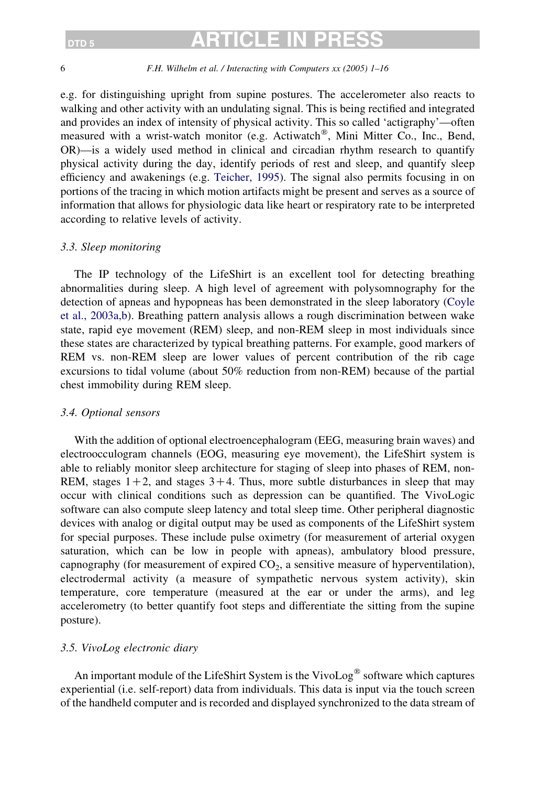#### 6 F.H. Wilhelm et al. / Interacting with Computers xx (2005) 1–16

e.g. for distinguishing upright from supine postures. The accelerometer also reacts to walking and other activity with an undulating signal. This is being rectified and integrated and provides an index of intensity of physical activity. This so called 'actigraphy'—often measured with a wrist-watch monitor (e.g. Actiwatch<sup>®</sup>, Mini Mitter Co., Inc., Bend, OR)—is a widely used method in clinical and circadian rhythm research to quantify physical activity during the day, identify periods of rest and sleep, and quantify sleep efficiency and awakenings (e.g. [Teicher, 1995](#page-14-0)). The signal also permits focusing in on portions of the tracing in which motion artifacts might be present and serves as a source of information that allows for physiologic data like heart or respiratory rate to be interpreted according to relative levels of activity.

### 3.3. Sleep monitoring

The IP technology of the LifeShirt is an excellent tool for detecting breathing abnormalities during sleep. A high level of agreement with polysomnography for the detection of apneas and hypopneas has been demonstrated in the sleep laboratory [\(Coyle](#page-13-0) [et al., 2003a,b](#page-13-0)). Breathing pattern analysis allows a rough discrimination between wake state, rapid eye movement (REM) sleep, and non-REM sleep in most individuals since these states are characterized by typical breathing patterns. For example, good markers of REM vs. non-REM sleep are lower values of percent contribution of the rib cage excursions to tidal volume (about 50% reduction from non-REM) because of the partial chest immobility during REM sleep.

#### 3.4. Optional sensors

With the addition of optional electroencephalogram (EEG, measuring brain waves) and electroocculogram channels (EOG, measuring eye movement), the LifeShirt system is able to reliably monitor sleep architecture for staging of sleep into phases of REM, non-REM, stages  $1+2$ , and stages  $3+4$ . Thus, more subtle disturbances in sleep that may occur with clinical conditions such as depression can be quantified. The VivoLogic software can also compute sleep latency and total sleep time. Other peripheral diagnostic devices with analog or digital output may be used as components of the LifeShirt system for special purposes. These include pulse oximetry (for measurement of arterial oxygen saturation, which can be low in people with apneas), ambulatory blood pressure, capnography (for measurement of expired  $CO<sub>2</sub>$ , a sensitive measure of hyperventilation), electrodermal activity (a measure of sympathetic nervous system activity), skin temperature, core temperature (measured at the ear or under the arms), and leg accelerometry (to better quantify foot steps and differentiate the sitting from the supine posture).

### 3.5. VivoLog electronic diary

An important module of the LifeShirt System is the VivoLog<sup>®</sup> software which captures experiential (i.e. self-report) data from individuals. This data is input via the touch screen of the handheld computer and is recorded and displayed synchronized to the data stream of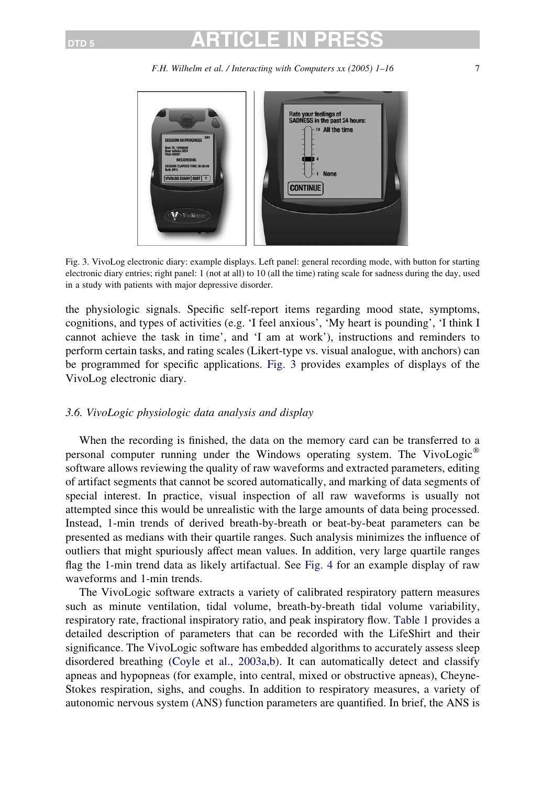F.H. Wilhelm et al. / Interacting with Computers xx (2005) 1–16 7



Fig. 3. VivoLog electronic diary: example displays. Left panel: general recording mode, with button for starting electronic diary entries; right panel: 1 (not at all) to 10 (all the time) rating scale for sadness during the day, used in a study with patients with major depressive disorder.

the physiologic signals. Specific self-report items regarding mood state, symptoms, cognitions, and types of activities (e.g. 'I feel anxious', 'My heart is pounding', 'I think I cannot achieve the task in time', and 'I am at work'), instructions and reminders to perform certain tasks, and rating scales (Likert-type vs. visual analogue, with anchors) can be programmed for specific applications. Fig. 3 provides examples of displays of the VivoLog electronic diary.

### 3.6. VivoLogic physiologic data analysis and display

When the recording is finished, the data on the memory card can be transferred to a personal computer running under the Windows operating system. The VivoLogic<sup>w</sup> software allows reviewing the quality of raw waveforms and extracted parameters, editing of artifact segments that cannot be scored automatically, and marking of data segments of special interest. In practice, visual inspection of all raw waveforms is usually not attempted since this would be unrealistic with the large amounts of data being processed. Instead, 1-min trends of derived breath-by-breath or beat-by-beat parameters can be presented as medians with their quartile ranges. Such analysis minimizes the influence of outliers that might spuriously affect mean values. In addition, very large quartile ranges flag the 1-min trend data as likely artifactual. See [Fig. 4](#page-7-0) for an example display of raw waveforms and 1-min trends.

The VivoLogic software extracts a variety of calibrated respiratory pattern measures such as minute ventilation, tidal volume, breath-by-breath tidal volume variability, respiratory rate, fractional inspiratory ratio, and peak inspiratory flow. [Table 1](#page-8-0) provides a detailed description of parameters that can be recorded with the LifeShirt and their significance. The VivoLogic software has embedded algorithms to accurately assess sleep disordered breathing [\(Coyle et al., 2003a,b](#page-13-0)). It can automatically detect and classify apneas and hypopneas (for example, into central, mixed or obstructive apneas), Cheyne-Stokes respiration, sighs, and coughs. In addition to respiratory measures, a variety of autonomic nervous system (ANS) function parameters are quantified. In brief, the ANS is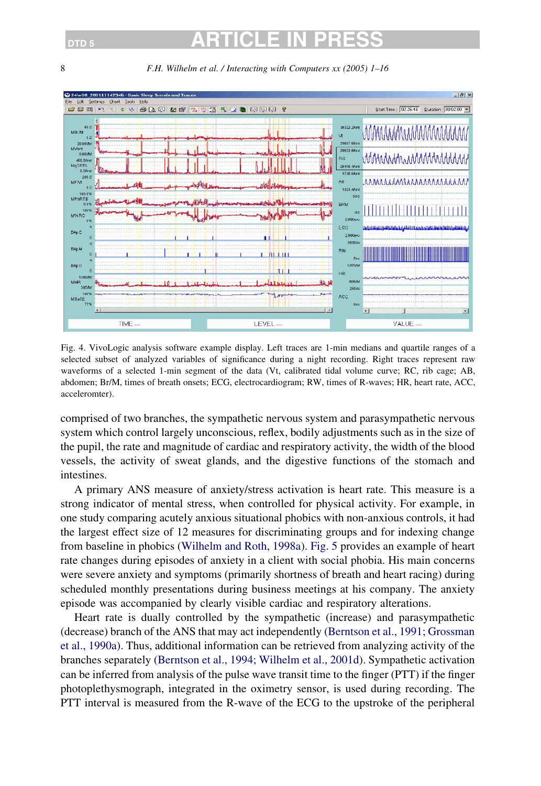<span id="page-7-0"></span>8 F.H. Wilhelm et al. / Interacting with Computers xx (2005) 1–16



Fig. 4. VivoLogic analysis software example display. Left traces are 1-min medians and quartile ranges of a selected subset of analyzed variables of significance during a night recording. Right traces represent raw waveforms of a selected 1-min segment of the data (Vt, calibrated tidal volume curve; RC, rib cage; AB, abdomen; Br/M, times of breath onsets; ECG, electrocardiogram; RW, times of R-waves; HR, heart rate, ACC, acceleromter).

comprised of two branches, the sympathetic nervous system and parasympathetic nervous system which control largely unconscious, reflex, bodily adjustments such as in the size of the pupil, the rate and magnitude of cardiac and respiratory activity, the width of the blood vessels, the activity of sweat glands, and the digestive functions of the stomach and intestines.

A primary ANS measure of anxiety/stress activation is heart rate. This measure is a strong indicator of mental stress, when controlled for physical activity. For example, in one study comparing acutely anxious situational phobics with non-anxious controls, it had the largest effect size of 12 measures for discriminating groups and for indexing change from baseline in phobics ([Wilhelm and Roth, 1998a\)](#page-15-0). [Fig. 5](#page-10-0) provides an example of heart rate changes during episodes of anxiety in a client with social phobia. His main concerns were severe anxiety and symptoms (primarily shortness of breath and heart racing) during scheduled monthly presentations during business meetings at his company. The anxiety episode was accompanied by clearly visible cardiac and respiratory alterations.

Heart rate is dually controlled by the sympathetic (increase) and parasympathetic (decrease) branch of the ANS that may act independently ([Berntson et al., 1991; Grossman](#page-12-0) [et al., 1990a](#page-12-0)). Thus, additional information can be retrieved from analyzing activity of the branches separately ([Berntson et al., 1994; Wilhelm et al., 2001d\)](#page-12-0). Sympathetic activation can be inferred from analysis of the pulse wave transit time to the finger (PTT) if the finger photoplethysmograph, integrated in the oximetry sensor, is used during recording. The PTT interval is measured from the R-wave of the ECG to the upstroke of the peripheral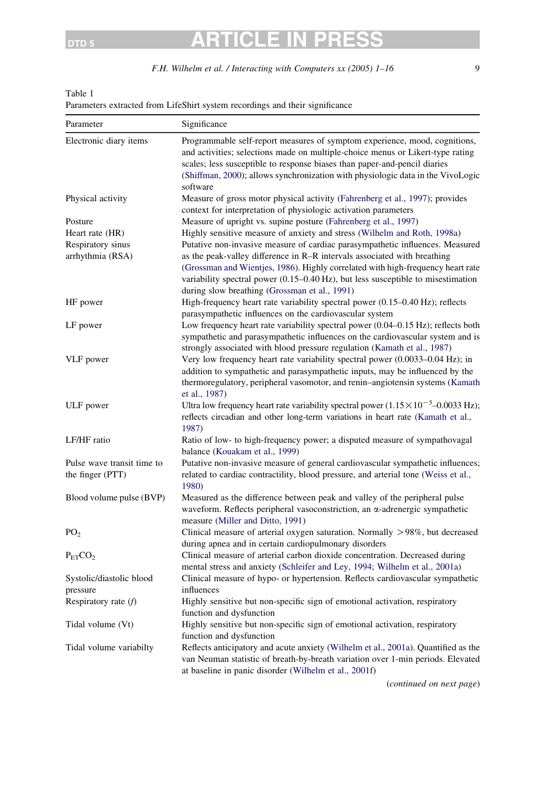F.H. Wilhelm et al. / Interacting with Computers xx (2005) 1-16 9

### <span id="page-8-0"></span>Table 1

Parameters extracted from LifeShirt system recordings and their significance

| Parameter                             | Significance                                                                                                                                                                                                                                                                                                                                                                      |
|---------------------------------------|-----------------------------------------------------------------------------------------------------------------------------------------------------------------------------------------------------------------------------------------------------------------------------------------------------------------------------------------------------------------------------------|
| Electronic diary items                | Programmable self-report measures of symptom experience, mood, cognitions,<br>and activities; selections made on multiple-choice menus or Likert-type rating<br>scales; less susceptible to response biases than paper-and-pencil diaries<br>(Shiffman, 2000); allows synchronization with physiologic data in the VivoLogic<br>software                                          |
| Physical activity                     | Measure of gross motor physical activity (Fahrenberg et al., 1997); provides<br>context for interpretation of physiologic activation parameters                                                                                                                                                                                                                                   |
| Posture                               | Measure of upright vs. supine posture (Fahrenberg et al., 1997)                                                                                                                                                                                                                                                                                                                   |
| Heart rate (HR)                       | Highly sensitive measure of anxiety and stress (Wilhelm and Roth, 1998a)                                                                                                                                                                                                                                                                                                          |
| Respiratory sinus<br>arrhythmia (RSA) | Putative non-invasive measure of cardiac parasympathetic influences. Measured<br>as the peak-valley difference in R-R intervals associated with breathing<br>(Grossman and Wientjes, 1986). Highly correlated with high-frequency heart rate<br>variability spectral power (0.15-0.40 Hz), but less susceptible to misestimation<br>during slow breathing (Grossman et al., 1991) |
| HF power                              | High-frequency heart rate variability spectral power (0.15–0.40 Hz); reflects<br>parasympathetic influences on the cardiovascular system                                                                                                                                                                                                                                          |
| LF power                              | Low frequency heart rate variability spectral power $(0.04-0.15 \text{ Hz})$ ; reflects both<br>sympathetic and parasympathetic influences on the cardiovascular system and is<br>strongly associated with blood pressure regulation (Kamath et al., 1987)                                                                                                                        |
| VLF power                             | Very low frequency heart rate variability spectral power (0.0033-0.04 Hz); in<br>addition to sympathetic and parasympathetic inputs, may be influenced by the<br>thermoregulatory, peripheral vasomotor, and renin-angiotensin systems (Kamath<br>et al., 1987)                                                                                                                   |
| ULF power                             | Ultra low frequency heart rate variability spectral power $(1.15 \times 10^{-5} - 0.0033 \text{ Hz})$ ;<br>reflects circadian and other long-term variations in heart rate (Kamath et al.,<br>1987)                                                                                                                                                                               |
| LF/HF ratio                           | Ratio of low- to high-frequency power; a disputed measure of sympathovagal<br>balance (Kouakam et al., 1999)                                                                                                                                                                                                                                                                      |
| Pulse wave transit time to            | Putative non-invasive measure of general cardiovascular sympathetic influences;                                                                                                                                                                                                                                                                                                   |
| the finger (PTT)                      | related to cardiac contractility, blood pressure, and arterial tone (Weiss et al.,<br>1980)                                                                                                                                                                                                                                                                                       |
| Blood volume pulse (BVP)              | Measured as the difference between peak and valley of the peripheral pulse<br>waveform. Reflects peripheral vasoconstriction, an a-adrenergic sympathetic<br>measure (Miller and Ditto, 1991)                                                                                                                                                                                     |
| PO <sub>2</sub>                       | Clinical measure of arterial oxygen saturation. Normally $>98\%$ , but decreased<br>during apnea and in certain cardiopulmonary disorders                                                                                                                                                                                                                                         |
| $P_{ET}CO2$                           | Clinical measure of arterial carbon dioxide concentration. Decreased during<br>mental stress and anxiety (Schleifer and Ley, 1994; Wilhelm et al., 2001a)                                                                                                                                                                                                                         |
| Systolic/diastolic blood              | Clinical measure of hypo- or hypertension. Reflects cardiovascular sympathetic                                                                                                                                                                                                                                                                                                    |
| pressure                              | influences                                                                                                                                                                                                                                                                                                                                                                        |
| Respiratory rate $(f)$                | Highly sensitive but non-specific sign of emotional activation, respiratory<br>function and dysfunction                                                                                                                                                                                                                                                                           |
| Tidal volume (Vt)                     | Highly sensitive but non-specific sign of emotional activation, respiratory<br>function and dysfunction                                                                                                                                                                                                                                                                           |
| Tidal volume variabilty               | Reflects anticipatory and acute anxiety (Wilhelm et al., 2001a). Quantified as the<br>van Neuman statistic of breath-by-breath variation over 1-min periods. Elevated<br>at baseline in panic disorder (Wilhelm et al., 2001f)                                                                                                                                                    |
|                                       | Constitution on nort nano                                                                                                                                                                                                                                                                                                                                                         |

(continued on next page)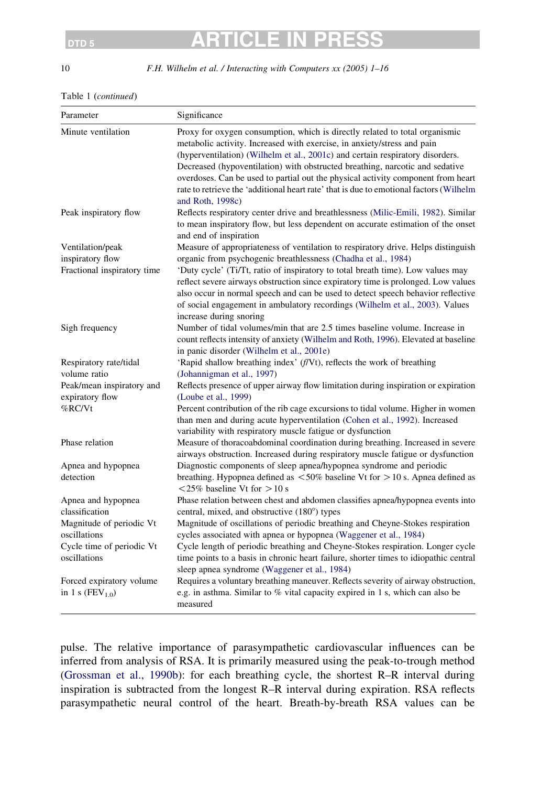10 F.H. Wilhelm et al. / Interacting with Computers xx (2005) 1–16

#### Table 1 (continued)

| Parameter                                    | Significance                                                                                                                                                                                                                                                                                                                                                                                                                                                                                                              |
|----------------------------------------------|---------------------------------------------------------------------------------------------------------------------------------------------------------------------------------------------------------------------------------------------------------------------------------------------------------------------------------------------------------------------------------------------------------------------------------------------------------------------------------------------------------------------------|
| Minute ventilation                           | Proxy for oxygen consumption, which is directly related to total organismic<br>metabolic activity. Increased with exercise, in anxiety/stress and pain<br>(hyperventilation) (Wilhelm et al., 2001c) and certain respiratory disorders.<br>Decreased (hypoventilation) with obstructed breathing, narcotic and sedative<br>overdoses. Can be used to partial out the physical activity component from heart<br>rate to retrieve the 'additional heart rate' that is due to emotional factors (Wilhelm<br>and Roth, 1998c) |
| Peak inspiratory flow                        | Reflects respiratory center drive and breathlessness (Milic-Emili, 1982). Similar<br>to mean inspiratory flow, but less dependent on accurate estimation of the onset<br>and end of inspiration                                                                                                                                                                                                                                                                                                                           |
| Ventilation/peak                             | Measure of appropriateness of ventilation to respiratory drive. Helps distinguish                                                                                                                                                                                                                                                                                                                                                                                                                                         |
| inspiratory flow                             | organic from psychogenic breathlessness (Chadha et al., 1984)                                                                                                                                                                                                                                                                                                                                                                                                                                                             |
| Fractional inspiratory time                  | 'Duty cycle' (Ti/Tt, ratio of inspiratory to total breath time). Low values may<br>reflect severe airways obstruction since expiratory time is prolonged. Low values<br>also occur in normal speech and can be used to detect speech behavior reflective<br>of social engagement in ambulatory recordings (Wilhelm et al., 2003). Values<br>increase during snoring                                                                                                                                                       |
| Sigh frequency                               | Number of tidal volumes/min that are 2.5 times baseline volume. Increase in<br>count reflects intensity of anxiety (Wilhelm and Roth, 1996). Elevated at baseline<br>in panic disorder (Wilhelm et al., 2001e)                                                                                                                                                                                                                                                                                                            |
| Respiratory rate/tidal                       | 'Rapid shallow breathing index' (f/Vt), reflects the work of breathing                                                                                                                                                                                                                                                                                                                                                                                                                                                    |
| volume ratio                                 | (Johannigman et al., 1997)                                                                                                                                                                                                                                                                                                                                                                                                                                                                                                |
| Peak/mean inspiratory and<br>expiratory flow | Reflects presence of upper airway flow limitation during inspiration or expiration<br>(Loube et al., 1999)                                                                                                                                                                                                                                                                                                                                                                                                                |
| %RC/Vt                                       | Percent contribution of the rib cage excursions to tidal volume. Higher in women<br>than men and during acute hyperventilation (Cohen et al., 1992). Increased<br>variability with respiratory muscle fatigue or dysfunction                                                                                                                                                                                                                                                                                              |
| Phase relation                               | Measure of thoracoabdominal coordination during breathing. Increased in severe<br>airways obstruction. Increased during respiratory muscle fatigue or dysfunction                                                                                                                                                                                                                                                                                                                                                         |
| Apnea and hypopnea                           | Diagnostic components of sleep apnea/hypopnea syndrome and periodic                                                                                                                                                                                                                                                                                                                                                                                                                                                       |
| detection                                    | breathing. Hypopnea defined as $\langle 50\%$ baseline Vt for $> 10$ s. Apnea defined as<br>$< 25\%$ baseline Vt for $> 10$ s                                                                                                                                                                                                                                                                                                                                                                                             |
| Apnea and hypopnea                           | Phase relation between chest and abdomen classifies apnea/hypopnea events into                                                                                                                                                                                                                                                                                                                                                                                                                                            |
| classification                               | central, mixed, and obstructive (180°) types                                                                                                                                                                                                                                                                                                                                                                                                                                                                              |
| Magnitude of periodic Vt                     | Magnitude of oscillations of periodic breathing and Cheyne-Stokes respiration                                                                                                                                                                                                                                                                                                                                                                                                                                             |
| oscillations                                 | cycles associated with apnea or hypopnea (Waggener et al., 1984)                                                                                                                                                                                                                                                                                                                                                                                                                                                          |
| Cycle time of periodic Vt                    | Cycle length of periodic breathing and Cheyne-Stokes respiration. Longer cycle                                                                                                                                                                                                                                                                                                                                                                                                                                            |
| oscillations                                 | time points to a basis in chronic heart failure, shorter times to idiopathic central<br>sleep apnea syndrome (Waggener et al., 1984)                                                                                                                                                                                                                                                                                                                                                                                      |
| Forced expiratory volume                     | Requires a voluntary breathing maneuver. Reflects severity of airway obstruction,                                                                                                                                                                                                                                                                                                                                                                                                                                         |
| in 1 s ( $FEV_{1.0}$ )                       | e.g. in asthma. Similar to % vital capacity expired in 1 s, which can also be<br>measured                                                                                                                                                                                                                                                                                                                                                                                                                                 |

pulse. The relative importance of parasympathetic cardiovascular influences can be inferred from analysis of RSA. It is primarily measured using the peak-to-trough method ([Grossman et al., 1990b](#page-13-0)): for each breathing cycle, the shortest R–R interval during inspiration is subtracted from the longest R–R interval during expiration. RSA reflects parasympathetic neural control of the heart. Breath-by-breath RSA values can be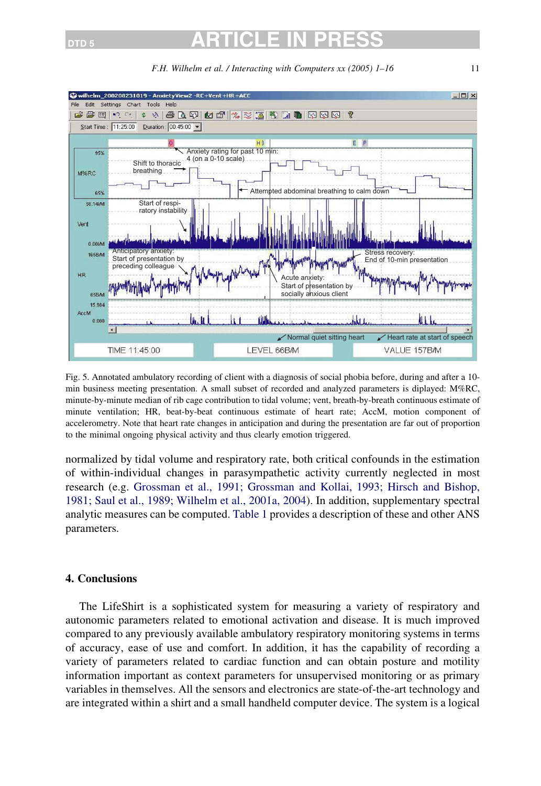<span id="page-10-0"></span>

F.H. Wilhelm et al. / Interacting with Computers xx (2005) 1–16 11

Fig. 5. Annotated ambulatory recording of client with a diagnosis of social phobia before, during and after a 10 min business meeting presentation. A small subset of recorded and analyzed parameters is diplayed: M%RC, minute-by-minute median of rib cage contribution to tidal volume; vent, breath-by-breath continuous estimate of minute ventilation; HR, beat-by-beat continuous estimate of heart rate; AccM, motion component of accelerometry. Note that heart rate changes in anticipation and during the presentation are far out of proportion to the minimal ongoing physical activity and thus clearly emotion triggered.

normalized by tidal volume and respiratory rate, both critical confounds in the estimation of within-individual changes in parasympathetic activity currently neglected in most research (e.g. [Grossman et al., 1991; Grossman and Kollai, 1993; Hirsch and Bishop,](#page-13-0) [1981; Saul et al., 1989; Wilhelm et al., 2001a, 2004](#page-13-0)). In addition, supplementary spectral analytic measures can be computed. [Table 1](#page-8-0) provides a description of these and other ANS parameters.

### 4. Conclusions

The LifeShirt is a sophisticated system for measuring a variety of respiratory and autonomic parameters related to emotional activation and disease. It is much improved compared to any previously available ambulatory respiratory monitoring systems in terms of accuracy, ease of use and comfort. In addition, it has the capability of recording a variety of parameters related to cardiac function and can obtain posture and motility information important as context parameters for unsupervised monitoring or as primary variables in themselves. All the sensors and electronics are state-of-the-art technology and are integrated within a shirt and a small handheld computer device. The system is a logical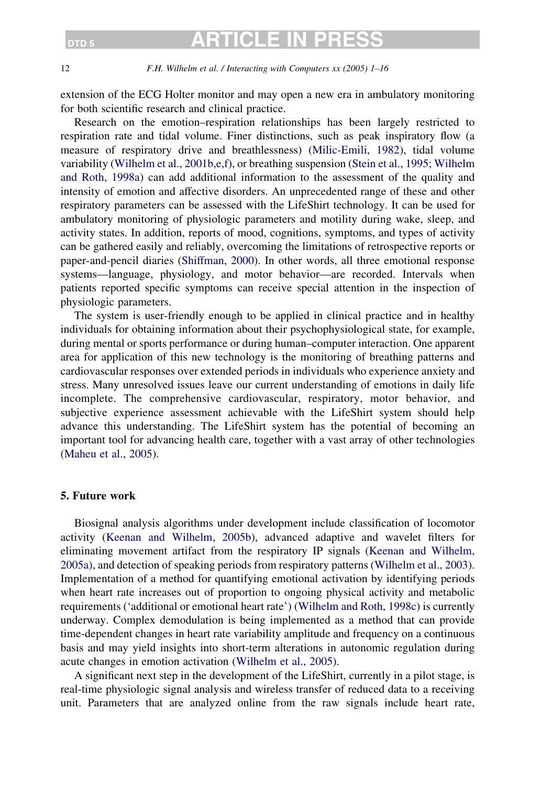### DTD 5 **ARTICLE IN**

12 F.H. Wilhelm et al. / Interacting with Computers xx (2005) 1–16

extension of the ECG Holter monitor and may open a new era in ambulatory monitoring for both scientific research and clinical practice.

Research on the emotion–respiration relationships has been largely restricted to respiration rate and tidal volume. Finer distinctions, such as peak inspiratory flow (a measure of respiratory drive and breathlessness) [\(Milic-Emili, 1982\)](#page-13-0), tidal volume variability [\(Wilhelm et al., 2001b,e,f\)](#page-15-0), or breathing suspension ([Stein et al., 1995; Wilhelm](#page-14-0) [and Roth, 1998a](#page-14-0)) can add additional information to the assessment of the quality and intensity of emotion and affective disorders. An unprecedented range of these and other respiratory parameters can be assessed with the LifeShirt technology. It can be used for ambulatory monitoring of physiologic parameters and motility during wake, sleep, and activity states. In addition, reports of mood, cognitions, symptoms, and types of activity can be gathered easily and reliably, overcoming the limitations of retrospective reports or paper-and-pencil diaries [\(Shiffman, 2000\)](#page-14-0). In other words, all three emotional response systems—language, physiology, and motor behavior—are recorded. Intervals when patients reported specific symptoms can receive special attention in the inspection of physiologic parameters.

The system is user-friendly enough to be applied in clinical practice and in healthy individuals for obtaining information about their psychophysiological state, for example, during mental or sports performance or during human–computer interaction. One apparent area for application of this new technology is the monitoring of breathing patterns and cardiovascular responses over extended periods in individuals who experience anxiety and stress. Many unresolved issues leave our current understanding of emotions in daily life incomplete. The comprehensive cardiovascular, respiratory, motor behavior, and subjective experience assessment achievable with the LifeShirt system should help advance this understanding. The LifeShirt system has the potential of becoming an important tool for advancing health care, together with a vast array of other technologies ([Maheu et al., 2005\)](#page-13-0).

### 5. Future work

Biosignal analysis algorithms under development include classification of locomotor activity ([Keenan and Wilhelm, 2005b](#page-13-0)), advanced adaptive and wavelet filters for eliminating movement artifact from the respiratory IP signals [\(Keenan and Wilhelm,](#page-13-0) [2005a\)](#page-13-0), and detection of speaking periods from respiratory patterns [\(Wilhelm et al., 2003](#page-15-0)). Implementation of a method for quantifying emotional activation by identifying periods when heart rate increases out of proportion to ongoing physical activity and metabolic requirements ('additional or emotional heart rate') [\(Wilhelm and Roth, 1998c\)](#page-15-0) is currently underway. Complex demodulation is being implemented as a method that can provide time-dependent changes in heart rate variability amplitude and frequency on a continuous basis and may yield insights into short-term alterations in autonomic regulation during acute changes in emotion activation [\(Wilhelm et al., 2005](#page-15-0)).

A significant next step in the development of the LifeShirt, currently in a pilot stage, is real-time physiologic signal analysis and wireless transfer of reduced data to a receiving unit. Parameters that are analyzed online from the raw signals include heart rate,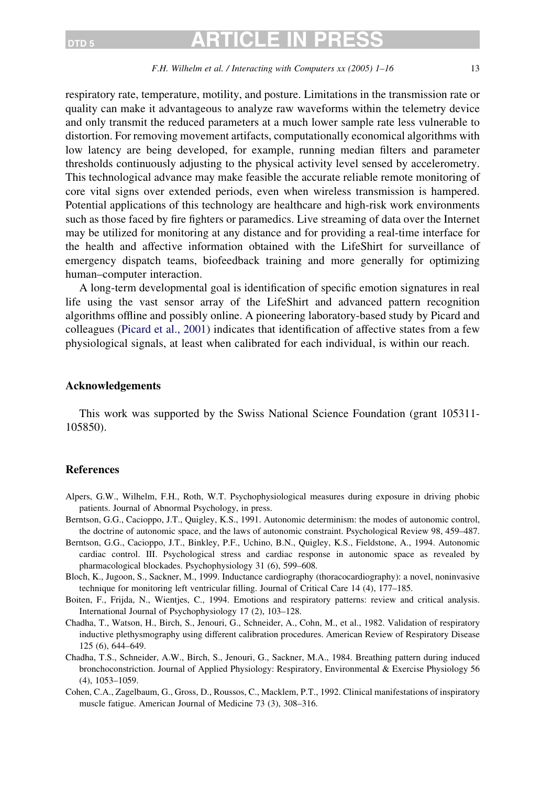### <span id="page-12-0"></span> $_{\texttt{DTD 5}}$  article in

#### F.H. Wilhelm et al. / Interacting with Computers xx (2005) 1–16 13

respiratory rate, temperature, motility, and posture. Limitations in the transmission rate or quality can make it advantageous to analyze raw waveforms within the telemetry device and only transmit the reduced parameters at a much lower sample rate less vulnerable to distortion. For removing movement artifacts, computationally economical algorithms with low latency are being developed, for example, running median filters and parameter thresholds continuously adjusting to the physical activity level sensed by accelerometry. This technological advance may make feasible the accurate reliable remote monitoring of core vital signs over extended periods, even when wireless transmission is hampered. Potential applications of this technology are healthcare and high-risk work environments such as those faced by fire fighters or paramedics. Live streaming of data over the Internet may be utilized for monitoring at any distance and for providing a real-time interface for the health and affective information obtained with the LifeShirt for surveillance of emergency dispatch teams, biofeedback training and more generally for optimizing human–computer interaction.

A long-term developmental goal is identification of specific emotion signatures in real life using the vast sensor array of the LifeShirt and advanced pattern recognition algorithms offline and possibly online. A pioneering laboratory-based study by Picard and colleagues [\(Picard et al., 2001\)](#page-14-0) indicates that identification of affective states from a few physiological signals, at least when calibrated for each individual, is within our reach.

#### Acknowledgements

This work was supported by the Swiss National Science Foundation (grant 105311- 105850).

### References

- Alpers, G.W., Wilhelm, F.H., Roth, W.T. Psychophysiological measures during exposure in driving phobic patients. Journal of Abnormal Psychology, in press.
- Berntson, G.G., Cacioppo, J.T., Quigley, K.S., 1991. Autonomic determinism: the modes of autonomic control, the doctrine of autonomic space, and the laws of autonomic constraint. Psychological Review 98, 459–487.
- Berntson, G.G., Cacioppo, J.T., Binkley, P.F., Uchino, B.N., Quigley, K.S., Fieldstone, A., 1994. Autonomic cardiac control. III. Psychological stress and cardiac response in autonomic space as revealed by pharmacological blockades. Psychophysiology 31 (6), 599–608.
- Bloch, K., Jugoon, S., Sackner, M., 1999. Inductance cardiography (thoracocardiography): a novel, noninvasive technique for monitoring left ventricular filling. Journal of Critical Care 14 (4), 177–185.
- Boiten, F., Frijda, N., Wientjes, C., 1994. Emotions and respiratory patterns: review and critical analysis. International Journal of Psychophysiology 17 (2), 103–128.
- Chadha, T., Watson, H., Birch, S., Jenouri, G., Schneider, A., Cohn, M., et al., 1982. Validation of respiratory inductive plethysmography using different calibration procedures. American Review of Respiratory Disease 125 (6), 644–649.
- Chadha, T.S., Schneider, A.W., Birch, S., Jenouri, G., Sackner, M.A., 1984. Breathing pattern during induced bronchoconstriction. Journal of Applied Physiology: Respiratory, Environmental & Exercise Physiology 56 (4), 1053–1059.
- Cohen, C.A., Zagelbaum, G., Gross, D., Roussos, C., Macklem, P.T., 1992. Clinical manifestations of inspiratory muscle fatigue. American Journal of Medicine 73 (3), 308–316.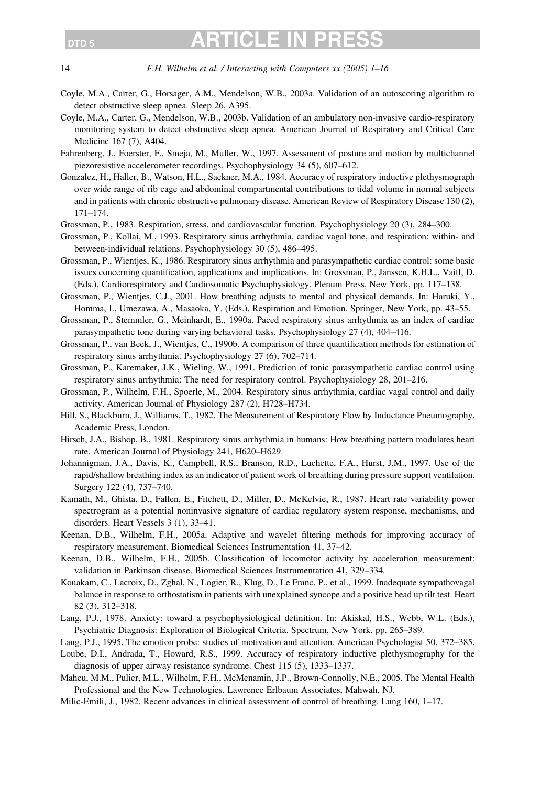<span id="page-13-0"></span>14 F.H. Wilhelm et al. / Interacting with Computers xx (2005) 1–16

- Coyle, M.A., Carter, G., Horsager, A.M., Mendelson, W.B., 2003a. Validation of an autoscoring algorithm to detect obstructive sleep apnea. Sleep 26, A395.
- Coyle, M.A., Carter, G., Mendelson, W.B., 2003b. Validation of an ambulatory non-invasive cardio-respiratory monitoring system to detect obstructive sleep apnea. American Journal of Respiratory and Critical Care Medicine 167 (7), A404.
- Fahrenberg, J., Foerster, F., Smeja, M., Muller, W., 1997. Assessment of posture and motion by multichannel piezoresistive accelerometer recordings. Psychophysiology 34 (5), 607–612.
- Gonzalez, H., Haller, B., Watson, H.L., Sackner, M.A., 1984. Accuracy of respiratory inductive plethysmograph over wide range of rib cage and abdominal compartmental contributions to tidal volume in normal subjects and in patients with chronic obstructive pulmonary disease. American Review of Respiratory Disease 130 (2), 171–174.
- Grossman, P., 1983. Respiration, stress, and cardiovascular function. Psychophysiology 20 (3), 284–300.
- Grossman, P., Kollai, M., 1993. Respiratory sinus arrhythmia, cardiac vagal tone, and respiration: within- and between-individual relations. Psychophysiology 30 (5), 486–495.
- Grossman, P., Wientjes, K., 1986. Respiratory sinus arrhythmia and parasympathetic cardiac control: some basic issues concerning quantification, applications and implications. In: Grossman, P., Janssen, K.H.L., Vaitl, D. (Eds.), Cardiorespiratory and Cardiosomatic Psychophysiology. Plenum Press, New York, pp. 117–138.
- Grossman, P., Wientjes, C.J., 2001. How breathing adjusts to mental and physical demands. In: Haruki, Y., Homma, I., Umezawa, A., Masaoka, Y. (Eds.), Respiration and Emotion. Springer, New York, pp. 43–55.
- Grossman, P., Stemmler, G., Meinhardt, E., 1990a. Paced respiratory sinus arrhythmia as an index of cardiac parasympathetic tone during varying behavioral tasks. Psychophysiology 27 (4), 404–416.
- Grossman, P., van Beek, J., Wientjes, C., 1990b. A comparison of three quantification methods for estimation of respiratory sinus arrhythmia. Psychophysiology 27 (6), 702–714.
- Grossman, P., Karemaker, J.K., Wieling, W., 1991. Prediction of tonic parasympathetic cardiac control using respiratory sinus arrhythmia: The need for respiratory control. Psychophysiology 28, 201–216.
- Grossman, P., Wilhelm, F.H., Spoerle, M., 2004. Respiratory sinus arrhythmia, cardiac vagal control and daily activity. American Journal of Physiology 287 (2), H728–H734.
- Hill, S., Blackburn, J., Williams, T., 1982. The Measurement of Respiratory Flow by Inductance Pneumography. Academic Press, London.
- Hirsch, J.A., Bishop, B., 1981. Respiratory sinus arrhythmia in humans: How breathing pattern modulates heart rate. American Journal of Physiology 241, H620–H629.
- Johannigman, J.A., Davis, K., Campbell, R.S., Branson, R.D., Luchette, F.A., Hurst, J.M., 1997. Use of the rapid/shallow breathing index as an indicator of patient work of breathing during pressure support ventilation. Surgery 122 (4), 737–740.
- Kamath, M., Ghista, D., Fallen, E., Fitchett, D., Miller, D., McKelvie, R., 1987. Heart rate variability power spectrogram as a potential noninvasive signature of cardiac regulatory system response, mechanisms, and disorders. Heart Vessels 3 (1), 33–41.
- Keenan, D.B., Wilhelm, F.H., 2005a. Adaptive and wavelet filtering methods for improving accuracy of respiratory measurement. Biomedical Sciences Instrumentation 41, 37–42.
- Keenan, D.B., Wilhelm, F.H., 2005b. Classification of locomotor activity by acceleration measurement: validation in Parkinson disease. Biomedical Sciences Instrumentation 41, 329–334.
- Kouakam, C., Lacroix, D., Zghal, N., Logier, R., Klug, D., Le Franc, P., et al., 1999. Inadequate sympathovagal balance in response to orthostatism in patients with unexplained syncope and a positive head up tilt test. Heart 82 (3), 312–318.
- Lang, P.J., 1978. Anxiety: toward a psychophysiological definition. In: Akiskal, H.S., Webb, W.L. (Eds.), Psychiatric Diagnosis: Exploration of Biological Criteria. Spectrum, New York, pp. 265–389.
- Lang, P.J., 1995. The emotion probe: studies of motivation and attention. American Psychologist 50, 372–385.
- Loube, D.I., Andrada, T., Howard, R.S., 1999. Accuracy of respiratory inductive plethysmography for the diagnosis of upper airway resistance syndrome. Chest 115 (5), 1333–1337.
- Maheu, M.M., Pulier, M.L., Wilhelm, F.H., McMenamin, J.P., Brown-Connolly, N.E., 2005. The Mental Health Professional and the New Technologies. Lawrence Erlbaum Associates, Mahwah, NJ.
- Milic-Emili, J., 1982. Recent advances in clinical assessment of control of breathing. Lung 160, 1–17.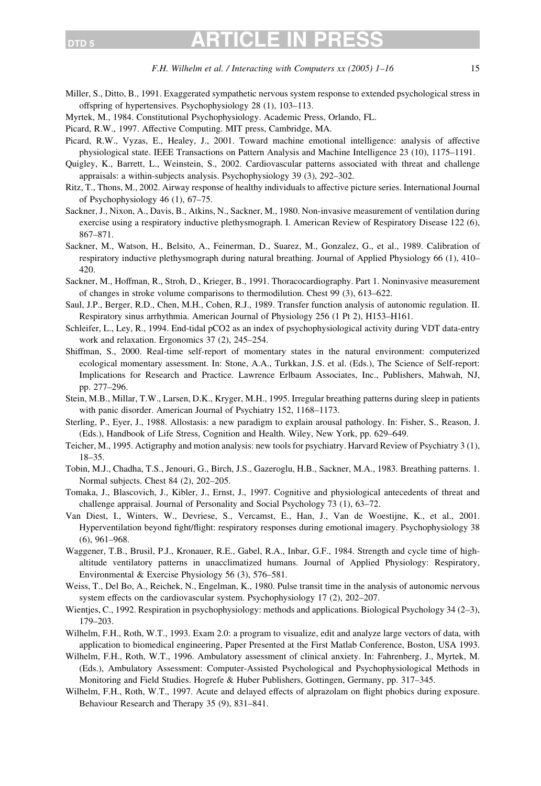### <span id="page-14-0"></span> $_{\texttt{DTD 5}}$  article in

- Miller, S., Ditto, B., 1991. Exaggerated sympathetic nervous system response to extended psychological stress in offspring of hypertensives. Psychophysiology 28 (1), 103–113.
- Myrtek, M., 1984. Constitutional Psychophysiology. Academic Press, Orlando, FL.
- Picard, R.W., 1997. Affective Computing. MIT press, Cambridge, MA.
- Picard, R.W., Vyzas, E., Healey, J., 2001. Toward machine emotional intelligence: analysis of affective physiological state. IEEE Transactions on Pattern Analysis and Machine Intelligence 23 (10), 1175–1191.
- Quigley, K., Barrett, L., Weinstein, S., 2002. Cardiovascular patterns associated with threat and challenge appraisals: a within-subjects analysis. Psychophysiology 39 (3), 292–302.
- Ritz, T., Thons, M., 2002. Airway response of healthy individuals to affective picture series. International Journal of Psychophysiology 46 (1), 67–75.
- Sackner, J., Nixon, A., Davis, B., Atkins, N., Sackner, M., 1980. Non-invasive measurement of ventilation during exercise using a respiratory inductive plethysmograph. I. American Review of Respiratory Disease 122 (6), 867–871.
- Sackner, M., Watson, H., Belsito, A., Feinerman, D., Suarez, M., Gonzalez, G., et al., 1989. Calibration of respiratory inductive plethysmograph during natural breathing. Journal of Applied Physiology 66 (1), 410– 420.
- Sackner, M., Hoffman, R., Stroh, D., Krieger, B., 1991. Thoracocardiography. Part 1. Noninvasive measurement of changes in stroke volume comparisons to thermodilution. Chest 99 (3), 613–622.
- Saul, J.P., Berger, R.D., Chen, M.H., Cohen, R.J., 1989. Transfer function analysis of autonomic regulation. II. Respiratory sinus arrhythmia. American Journal of Physiology 256 (1 Pt 2), H153–H161.
- Schleifer, L., Ley, R., 1994. End-tidal pCO2 as an index of psychophysiological activity during VDT data-entry work and relaxation. Ergonomics 37 (2), 245–254.
- Shiffman, S., 2000. Real-time self-report of momentary states in the natural environment: computerized ecological momentary assessment. In: Stone, A.A., Turkkan, J.S. et al. (Eds.), The Science of Self-report: Implications for Research and Practice. Lawrence Erlbaum Associates, Inc., Publishers, Mahwah, NJ, pp. 277–296.
- Stein, M.B., Millar, T.W., Larsen, D.K., Kryger, M.H., 1995. Irregular breathing patterns during sleep in patients with panic disorder. American Journal of Psychiatry 152, 1168–1173.
- Sterling, P., Eyer, J., 1988. Allostasis: a new paradigm to explain arousal pathology. In: Fisher, S., Reason, J. (Eds.), Handbook of Life Stress, Cognition and Health. Wiley, New York, pp. 629–649.
- Teicher, M., 1995. Actigraphy and motion analysis: new tools for psychiatry. Harvard Review of Psychiatry 3 (1), 18–35.
- Tobin, M.J., Chadha, T.S., Jenouri, G., Birch, J.S., Gazeroglu, H.B., Sackner, M.A., 1983. Breathing patterns. 1. Normal subjects. Chest 84 (2), 202–205.
- Tomaka, J., Blascovich, J., Kibler, J., Ernst, J., 1997. Cognitive and physiological antecedents of threat and challenge appraisal. Journal of Personality and Social Psychology 73 (1), 63–72.
- Van Diest, I., Winters, W., Devriese, S., Vercamst, E., Han, J., Van de Woestijne, K., et al., 2001. Hyperventilation beyond fight/flight: respiratory responses during emotional imagery. Psychophysiology 38 (6), 961–968.
- Waggener, T.B., Brusil, P.J., Kronauer, R.E., Gabel, R.A., Inbar, G.F., 1984. Strength and cycle time of highaltitude ventilatory patterns in unacclimatized humans. Journal of Applied Physiology: Respiratory, Environmental & Exercise Physiology 56 (3), 576–581.
- Weiss, T., Del Bo, A., Reichek, N., Engelman, K., 1980. Pulse transit time in the analysis of autonomic nervous system effects on the cardiovascular system. Psychophysiology 17 (2), 202–207.
- Wientjes, C., 1992. Respiration in psychophysiology: methods and applications. Biological Psychology 34 (2–3), 179–203.
- Wilhelm, F.H., Roth, W.T., 1993. Exam 2.0: a program to visualize, edit and analyze large vectors of data, with application to biomedical engineering, Paper Presented at the First Matlab Conference, Boston, USA 1993.
- Wilhelm, F.H., Roth, W.T., 1996. Ambulatory assessment of clinical anxiety. In: Fahrenberg, J., Myrtek, M. (Eds.), Ambulatory Assessment: Computer-Assisted Psychological and Psychophysiological Methods in Monitoring and Field Studies. Hogrefe & Huber Publishers, Gottingen, Germany, pp. 317–345.
- Wilhelm, F.H., Roth, W.T., 1997. Acute and delayed effects of alprazolam on flight phobics during exposure. Behaviour Research and Therapy 35 (9), 831–841.